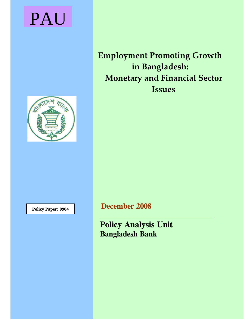# PAU

# **Employment Promoting Growth in Bangladesh: Monetary and Financial Sector Issues**



**Policy Paper: 0904 December 2008** 

**Policy Analysis Unit Bangladesh Bank**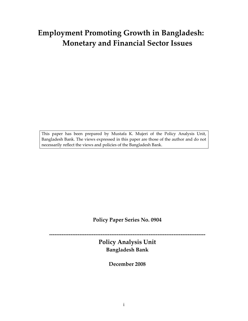# **Employment Promoting Growth in Bangladesh: Monetary and Financial Sector Issues**

This paper has been prepared by Mustafa K. Mujeri of the Policy Analysis Unit, Bangladesh Bank. The views expressed in this paper are those of the author and do not necessarily reflect the views and policies of the Bangladesh Bank.

**Policy Paper Series No. 0904**

**Policy Analysis Unit Bangladesh Bank**

**‐‐‐‐‐‐‐‐‐‐‐‐‐‐‐‐‐‐‐‐‐‐‐‐‐‐‐‐‐‐‐‐‐‐‐‐‐‐‐‐‐‐‐‐‐‐‐‐‐‐‐‐‐‐‐‐‐‐‐‐‐‐‐‐‐‐‐‐‐‐‐‐‐‐‐‐‐‐‐‐‐‐‐‐‐‐‐‐** 

**December 2008**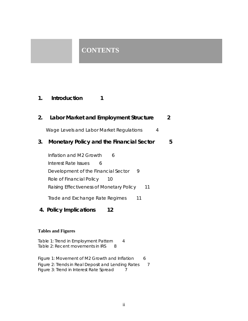# **CONTENTS**

# **1. Introduction 1**

| 2. | Labor Market and Employment Structure                                                                                                                                                  | 2 |
|----|----------------------------------------------------------------------------------------------------------------------------------------------------------------------------------------|---|
|    | Wage Levels and Labor Market Regulations<br>4                                                                                                                                          |   |
| 3. | <b>Monetary Policy and the Financial Sector</b>                                                                                                                                        | 5 |
|    | Inflation and M2 Growth<br>6<br>Interest Rate Issues<br>6<br>Development of the Financial Sector<br>9<br>Role of Financial Policy 10<br>Raising Effectiveness of Monetary Policy<br>11 |   |
|    | Trade and Exchange Rate Regimes<br>11                                                                                                                                                  |   |
|    | 4. Policy Implications<br>12                                                                                                                                                           |   |
|    | <b>Tables and Figures</b>                                                                                                                                                              |   |
|    | Table 1: Trend in Employment Pattern<br>4                                                                                                                                              |   |

Figure 1: Movement of M2 Growth and Inflation 6 Figure 2: Trends in Real Deposit and Lending Rates 7 Figure 3: Trend in Interest Rate Spread 7

Table 2: Recent movements in IRS 8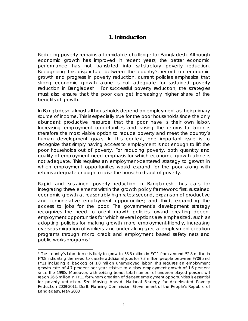# **1. Introduction**

Reducing poverty remains a formidable challenge for Bangladesh. Although economic growth has improved in recent years, the better economic performance has not translated into satisfactory poverty reduction. Recognizing this disjuncture between the country's record on economic growth and progress in poverty reduction, current policies emphasize that strong economic growth alone is not adequate for sustained poverty reduction in Bangladesh. For successful poverty reduction, the strategies must also ensure that the poor can get increasingly higher share of the benefits of growth.

In Bangladesh, almost all households depend on employment as their primary source of income. This is especially true for the poor households since the only abundant productive resource that the poor have is their own labor. Increasing employment opportunities and raising the returns to labor is therefore the most viable option to reduce poverty and meet the country's human development goals. In this context, one important issue is to recognize that simply having access to employment is not enough to lift the poor households out of poverty. For reducing poverty, both quantity and quality of employment need emphasis for which economic growth alone is not adequate. This requires an employment-centered strategy to growth in which employment opportunities would expand for the poor along with returns adequate enough to raise the households out of poverty.

Rapid and sustained poverty reduction in Bangladesh thus calls for integrating three elements within the growth policy framework: *first,* sustained economic growth at reasonably high rates; *second,* expansion of productive and remunerative employment opportunities; and *third,* expanding the access to jobs for the poor. The government's development strategy recognizes the need to orient growth policies toward creating decent employment opportunities for which several options are emphasized, such as adopting policies for making growth more employment-friendly, increasing overseas migration of workers, and undertaking special employment creation programs through micro credit and employment based safety nets and public works programs.1

 $\overline{a}$ 

<sup>1</sup> The country's labor force is likely to grow to 58.3 million in FY11 from around 52.8 million in FY08 indicating the need to create additional jobs for 7.3 million people between FY09 and FY11 including a backlog of 1.8 million unemployed labor. This requires an employment growth rate of 4.7 percent per year relative to a slow employment growth of 1.6 percent since the 1990s. Moreover, with existing trend, total number of underemployed persons will reach 26.6 million in FY11 for whom creation of decent employment opportunities is essential for poverty reduction. See *Moving Ahead: National Strategy for Accelerated Poverty Reduction 2009-2011,* Draft, Planning Commission, Government of the People's Republic of Bangladesh, May 2008.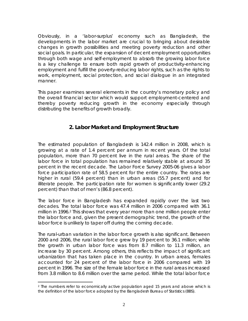Obviously, in a 'labor-surplus' economy such as Bangladesh, the developments in the labor market are crucial to bringing about desirable changes in growth possibilities and meeting poverty reduction and other social goals. In particular, the expansion of decent employment opportunities through both wage and self-employment to absorb the growing labor force is a key challenge to ensure both rapid growth of productivity-enhancing employment and fulfill the poverty-reducing labor rights, such as the rights to work, employment, social protection, and social dialogue in an integrated manner.

This paper examines several elements in the country's monetary policy and the overall financial sector which would support employment-centered and thereby poverty reducing growth in the economy especially through distributing the benefits of growth broadly.

# **2. Labor Market and Employment Structure**

The estimated population of Bangladesh is 142.4 million in 2008, which is growing at a rate of 1.4 percent per annum in recent years. Of the total population, more than 70 percent live in the rural areas. The share of the labor force in total population has remained relatively stable at around 35 percent in the recent decade. The Labor Force Survey 2005-06 gives a labor force participation rate of 58.5 percent for the entire country. The rates are higher in rural (59.4 percent) than in urban areas (55.7 percent) and for illiterate people. The participation rate for women is significantly lower (29.2 percent) than that of men's (86.8 percent).

The labor force in Bangladesh has expanded rapidly over the last two decades. The total labor force was 47.4 million in 2006 compared with 36.1 million in 1996.2 This shows that every year more than one million people enter the labor force and, given the present demographic trend, the growth of the labor force is unlikely to taper off during the coming decade.

The rural-urban variation in the labor force growth is also significant. Between 2000 and 2006, the rural labor force grew by 19 percent to 36.1 million; while the growth in urban labor force was from 8.7 million to 11.3 million, an increase by 30 percent. Among others, this reflects the impact of significant urbanization that has taken place in the country. In urban areas, females accounted for 24 percent of the labor force in 2006 compared with 19 percent in 1996. The size of the female labor force in the rural areas increased from 3.8 million to 8.6 million over the same period. While the total labor force

 $\overline{a}$ 2 The numbers refer to economically active population aged 15 years and above which is the definition of the labor force adopted by the Bangladesh Bureau of Statistics (BBS).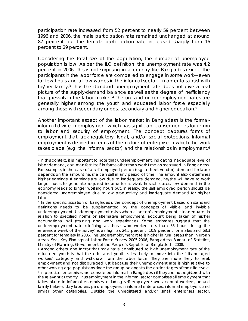participation rate increased from 52 percent to nearly 59 percent between 1996 and 2006, the male participation rate remained unchanged at around 87 percent but the female participation rate increased sharply from 16 percent to 29 percent.

Considering the total size of the population, the number of unemployed population is low. As per the ILO definition, the unemployment rate was 4.2 percent in 2006. This is not surprising in a country like Bangladesh since the participants in the labor force are compelled to engage in some work—even for few hours and at low wages in the informal sector—in order to subsist with his/her family.<sup>3</sup> Thus the standard unemployment rate does not give a real picture of the supply-demand balance as well as the degree of inefficiency that prevails in the labor market.4 The un- and under-employment rates are generally higher among the youth and educated labor force especially among those with secondary or post-secondary and higher education.<sup>5</sup>

Another important aspect of the labor market in Bangladesh is the formalinformal divide in employment which has significant consequences for return to labor and security of employment. The concept captures forms of employment that lack regulatory, legal, and/or social protections. Informal employment is defined in terms of the nature of enterprise in which the work takes place (e.g. the informal sector) and the relationships in employment.<sup>6</sup>

 <sup>3</sup> In this context, it is important to note that underemployment, indicating inadequate level of labor demand, can manifest itself in forms other than work time as measured in Bangladesh. For example, in the case of a self-employed person (e.g. a street vendor), demand for labor depends on the amount he/she can sell in any period of time. The amount also determines his/her earnings. If earnings are low due to inadequate demand, he/she will have to work longer hours to generate required income for survival. In such cases, low demand in the economy leads to longer working hours but, in reality, the self employed person should be considered underemployed due to low productivity and inadequate demand for his/her labor.

<sup>4</sup> In the specific situation of Bangladesh, the concept of unemployment based on standard definitions needs to be supplemented by the concepts of visible and invisible underemployment. Underemployment exists when a person's employment is inadequate, in relation to specified norms or alternative employment, account being taken of his/her occupational skill (training and work experience). Some estimates suggest that the underemployment rate (defining as those who worked less than 35 hours during the reference week of the survey) is as high as 24.5 percent (10.9 percent for males and 68.3 percent for females) in 2006. The underemployment rate is higher in rural areas than in urban areas. See, *Key Findings of Labor Force Survey 2005-2006,* Bangladesh Bureau of Statistics, Ministry of Planning, Government of the People's Republic of Bangladesh, 2008.

<sup>5</sup> Among others, one factor that may have contributed to high unemployment rate of the educated youth is that the educated youth is less likely to move into the 'discouraged workers' category and withdraw from the labor force. They are more likely to seek employment and not discouraged just because their unemployment rate is high relative to other working age populations since the group belongs to the earlier stages of their life cycle.<br><sup>6</sup> In practice, enterprises are considered informal in Bangladesh if they are not registered with the relevant authority. Thus employment in the informal sector comprises all employment that takes place in informal enterprises including self employed/own account workers, unpaid family helpers, day laborers, paid employees in informal enterprises, informal employers, and similar other categories. Outside the unregistered and/or small enterprises sector,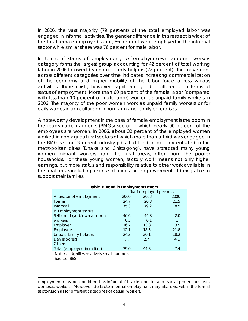In 2006, the vast majority (79 percent) of the total employed labor was engaged in informal activities. The gender difference in this respect is wide: of the total female employed labor, 86 percent were employed in the informal sector while similar share was 76 percent for male labor.

In terms of status of employment, self-employed/own account workers category forms the largest group accounting for 42 percent of total working labor in 2006 followed by unpaid family helpers (22 percent). The movement across different categories over time indicates increasing commercialization of the economy and higher mobility of the labor force across various activities. There exists, however, significant gender difference in terms of status of employment. More than 60 percent of the female labor (compared with less than 10 percent of male labor) worked as unpaid family workers in 2006. The majority of the poor women work as unpaid family workers or for daily wages in agriculture or in non-farm and family enterprises.

A noteworthy development in the case of female employment is the boom in the readymade garments (RMGs) sector in which nearly 90 percent of the employees are women. In 2006, about 32 percent of the employed women worked in non-agricultural sectors of which more than a third was engaged in the RMG sector. Garment industry jobs that tend to be concentrated in big metropolitan cities (Dhaka and Chittagong), have attracted many young women migrant workers from the rural areas, often from the poorer households. For these young women, factory work means not only higher earnings, but more status and responsibility relative to other work available in the rural areas including a sense of pride and empowerment at being able to support their families.

|                             | % of employed persons |      |          |  |  |
|-----------------------------|-----------------------|------|----------|--|--|
| A. Sector of employment     | 2000                  | 2003 | 2006     |  |  |
| Formal                      | 24.7                  | 20.8 | 21.5     |  |  |
| Informal                    | 75.3                  | 79.2 | 78.5     |  |  |
| <b>B.</b> Employment status |                       |      |          |  |  |
| Self-employed/own account   | 46.6                  | 44.8 | 42.0     |  |  |
| workers                     | 0.3                   | 0.1  | $\cdots$ |  |  |
| Employer                    | 16.7                  | 13.8 | 13.9     |  |  |
| Employee                    | 12.1                  | 18.5 | 21.8     |  |  |
| Unpaid family helpers       | 24.3                  | 20.1 | 18.2     |  |  |
| Day laborers                | $\cdots$              | 2.7  | 4.1      |  |  |
| <b>Others</b>               |                       |      |          |  |  |
| Total (employed in million) | 39.0                  | 44.3 | 47.4     |  |  |

## **Table 1: Trend in Employment Pattern**

 Note: … signifies relatively small number. Source: BBS

 $\overline{a}$ employment may be considered as informal if it lacks core legal or social protections (e.g. domestic workers). Moreover, *de facto* informal employment may also exist within the formal sector such as for different categories of casual workers.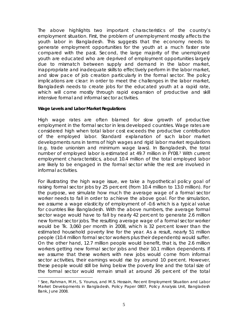The above highlights two important characteristics of the country's employment situation. *First,* the problem of unemployment mostly affects the youth labor in Bangladesh. This suggests that the economy needs to generate employment opportunities for the youth at a much faster rate compared with the past. *Second,* the large majority of the unemployed youth are educated who are deprived of employment opportunities largely due to mismatch between supply and demand in the labor market, inappropriate and inadequate skills to effectively perform in the labor market, and slow pace of job creation particularly in the formal sector. The policy implications are clear: in order to meet the challenges in the labor market, Bangladesh needs to create jobs for the educated youth at a rapid rate, which will come mostly through rapid expansion of productive and skill intensive formal and informal sector activities.

#### **Wage Levels and Labor Market Regulations**

 $\overline{a}$ 

High wage rates are often blamed for slow growth of productive employment in the formal sector in less developed countries. Wage rates are considered high when total labor cost exceeds the productive contribution of the employed labor. Standard explanation of such labor market developments runs in terms of high wages and rigid labor market regulations (e.g. trade unionism and minimum wage laws). In Bangladesh, the total number of employed labor is estimated at 49.7 million in FY08.7 With current employment characteristics, about 10.4 million of the total employed labor are likely to be engaged in the formal sector while the rest are involved in informal activities.

For illustrating the high wage issue, we take a hypothetical policy goal of raising formal sector jobs by 25 percent (from 10.4 million to 13.0 million). For the purpose, we simulate how much the average wage of a formal sector worker needs to fall in order to achieve the above goal. For the simulation, we assume a wage elasticity of employment of -0.6 which is a typical value for countries like Bangladesh. With the above numbers, the average formal sector wage would have to fall by nearly 42 percent to generate 2.6 million new formal sector jobs. The resulting average wage of a formal sector worker would be Tk. 3,060 per month in 2008, which is 32 percent lower than the estimated household poverty line for the year. As a result, nearly 51 million people (10.4 million formal sector workers plus their dependents) would suffer. On the other hand, 12.7 million people would benefit, that is, the 2.6 million workers getting new formal sector jobs and their 10.1 million dependents. If we assume that these workers with new jobs would come from informal sector activities, their earnings would rise by around 10 percent. However, these people would still be living below the poverty line and the total size of the formal sector would remain small at around 26 percent of the total

<sup>7</sup> See, Rahman, M.H., S. Younus, and M.S. Hossain, *Recent Employment Situation and Labor Market Developments in Bangladesh,* Policy Paper 0807, Policy Analysis Unit, Bangladesh Bank, June 2008.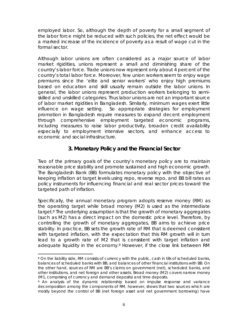employed labor. So, although the depth of poverty for a small segment of the labor force might be reduced with such policies, the net effect would be a marked increase of the incidence of poverty as a result of wage cut in the formal sector.

Although labor unions are often considered as a major source of labor market rigidities, unions represent a small and diminishing share of the country's labor force. Trade unions now represent only about 4 percent of the country's total labor force. Moreover, few union workers seem to enjoy wage premiums since the 'elite and senior workers' who enjoy high premiums based on education and skill usually remain outside the labor unions. In general, the labor unions represent production workers belonging to semiskilled and unskilled categories. Thus labor unions are not an important source of labor market rigidities in Bangladesh. Similarly, minimum wages exert little influence on wage setting. So appropriate strategies for employment promotion in Bangladesh require measures to expand decent employment through comprehensive employment targeted economic programs, including measures to raise labor productivity, broaden credit availability especially to employment intensive sectors, and enhance access to economic and social infrastructure.

# **3. Monetary Policy and the Financial Sector**

Two of the primary goals of the country's monetary policy are to maintain reasonable price stability and promote sustained and high economic growth. The Bangladesh Bank (BB) formulates monetary policy with the objective of keeping inflation at target levels using repo, reverse repo, and BB bill rates as policy instruments for influencing financial and real sector prices toward the targeted path of inflation.

Specifically, the annual monetary program adopts reserve money (RM) as the operating target while broad money (M2) is used as the intermediate target.8 The underlying assumption is that the growth of monetary aggregates (such as M2) has a direct impact on the domestic price level. Therefore, by controlling the growth of monetary aggregates, BB aims to achieve price stability. In practice, BB sets the growth rate of RM that is deemed consistent with targeted inflation, with the expectation that this RM growth will in turn lead to a growth rate of M2 that is consistent with target inflation and adequate liquidity in the economy.<sup>9</sup> However, if the close link between RM

 $\overline{a}$ 

<sup>8</sup> On the liability side, RM consists of currency with the public, cash in tills of scheduled banks, balances of scheduled banks with BB, and balances of other financial institutions with BB. On the other hand, sources of RM are BB's claims on government (net), scheduled banks, and other institutions, and net foreign and other assets. Broad money (M2) covers narrow money (M1, comprising of currency and demand deposits) and time deposits.

<sup>9</sup> An analysis of the dynamic relationship based on impulse response and variance decomposition among the components of RM, however, shows that two sources which are mostly beyond the control of BB (net foreign asset and net government borrowing) have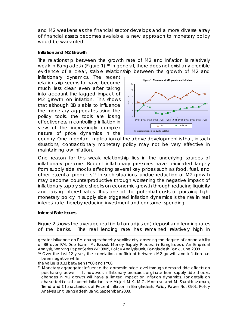and M2 weakens as the financial sector develops and a more diverse array of financial assets becomes available, a new approach to monetary policy would be warranted.

## **Inflation and M2 Growth**

The relationship between the growth rate of M2 and inflation is relatively weak in Bangladesh (Figure 1).10 In general, there does not exist any credible evidence of a clear, stable relationship between the growth of M2 and

inflationary dynamics. The recent relationship seems to have become much less clear even after taking into account the lagged impact of M2 growth on inflation. This shows that although BB is able to influence the monetary aggregates using the policy tools, the tools are losing effectiveness in controlling inflation in view of the increasingly complex nature of price dynamics in the



country. One important implication of the above development is that, in such situations, contractionary monetary policy may not be very effective in maintaining low inflation.

One reason for this weak relationship lies in the underlying sources of inflationary pressure. Recent inflationary pressures have originated largely from supply side shocks affecting several key prices such as food, fuel, and other essential products.11 In such situations, undue reduction of M2 growth may become counterproductive through worsening the negative impact of inflationary supply side shocks on economic growth through reducing liquidity and raising interest rates. Thus one of the potential costs of pursuing tight monetary policy in supply side triggered inflation dynamics is the rise in real interest rate thereby reducing investment and consumer spending.

## **Interest Rate Issues**

Figure 2 shows the average real (inflation-adjusted) deposit and lending rates of the banks. The real lending rate has remained relatively high in

the value is 0.33 between FY00 and FY08.

11 Monetary aggregates influence the domestic price level through demand side effects on purchasing power. If, however, inflationary pressures originate from supply side shocks, changes in M2 growth will have a limited impact on inflation dynamics. For details on characteristics of current inflation, see Mujeri, M.K., M.G. Mortaza, and M. Shahiduzzaman, *Trend and Characteristics of Recent Inflation in Bangladesh,* Policy Paper No. 0901, Policy Analysis Unit, Bangladesh Bank, September 2008.

greater influence on RM changes thereby significantly loosening the degree of controllability of BB over RM. See Islam, M. Ezazul, *Money Supply Process in Bangladesh: An Empirical Analysis,* Working Paper Series WP 0805, Policy Analysis Unit, Bangladesh Bank, June 2008.<br><sup>10</sup> Over the last 12 years, the correlation coefficient between M2 growth and inflation has

been negative while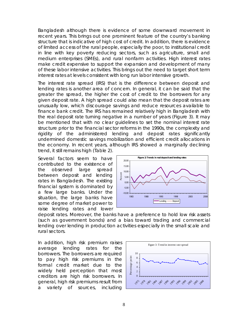Bangladesh although there is evidence of some downward movement in recent years. This brings out one prominent feature of the country's banking structure that is indicative of high cost of credit. In addition, there is evidence of limited access of the rural people, especially the poor, to institutional credit in line with key poverty reducing sectors, such as agriculture, small and medium enterprises (SMEs), and rural nonfarm activities. High interest rates make credit expensive to support the expansion and development of many of these labor intensive activities. This brings out the need to target short term interest rates at levels consistent with long run labor intensive growth.

The interest rate spread (IRS) that is the difference between deposit and lending rates is another area of concern. In general, it can be said that the greater the spread, the higher the cost of credit to the borrowers for any given deposit rate. A high spread could also mean that the deposit rates are unusually low, which discourage savings and reduce resources available to finance bank credit. The IRS has remained relatively high in Bangladesh with the real deposit rate turning negative in a number of years (Figure 3). It may be mentioned that with no clear guidelines to set the nominal interest rate structure prior to the financial sector reforms in the 1990s, the complexity and rigidity of the administered lending and deposit rates significantly undermined domestic savings mobilization and efficient credit allocations in the economy. In recent years, although IRS showed a marginally declining trend, it still remains high (Table 2).

Several factors seem to have contributed to the existence of the observed large spread between deposit and lending rates in Bangladesh. The existing financial system is dominated by a few large banks. Under the situation, the large banks have some degree of market power to raise lending rates and lower



deposit rates. Moreover, the banks have a preference to hold low risk assets (such as government bonds) and a bias toward trading and commercial lending over lending in production activities especially in the small scale and rural sectors.

In addition, high risk premium raises average lending rates for the borrowers. The borrowers are required to pay high risk premiums in the formal credit market due to the widely held perception that most creditors are high risk borrowers. In general, high risk premiums result from a variety of sources, including

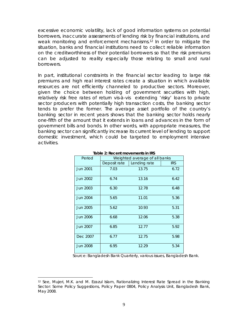excessive economic volatility, lack of good information systems on potential borrowers, inaccurate assessments of lending risk by financial institutions, and weak monitoring and enforcement mechanisms.12 In order to mitigate the situation, banks and financial institutions need to collect reliable information on the creditworthiness of their potential borrowers so that the risk premiums can be adjusted to reality especially those relating to small and rural borrowers.

In part, institutional constraints in the financial sector leading to large risk premiums and high real interest rates create a situation in which available resources are not efficiently channeled to productive sectors. Moreover, given the choice between holding of government securities with high, relatively risk free rates of return vis-à-vis extending 'risky' loans to private sector producers with potentially high transaction costs, the banking sector tends to prefer the former. The average asset portfolio of the country's banking sector in recent years shows that the banking sector holds nearly one-fifth of the amount that it extends in loans and advances in the form of government bills and bonds. In other words, with appropriate measures, the banking sector can significantly increase its current level of lending to support domestic investment, which could be targeted to employment intensive activities.

| Period          | Weighted average of all banks |              |            |  |  |  |  |
|-----------------|-------------------------------|--------------|------------|--|--|--|--|
|                 | Deposit rate                  | Lending rate | <b>IRS</b> |  |  |  |  |
| <b>Jun 2001</b> | 7.03                          | 13.75        | 6.72       |  |  |  |  |
| Jun 2002        | 6.74                          | 13.16        | 6.42       |  |  |  |  |
| Jun 2003        | 6.30                          | 12.78        | 6.48       |  |  |  |  |
| <b>Jun 2004</b> | 5.65                          | 11.01        | 5.36       |  |  |  |  |
| <b>Jun 2005</b> | 5.62                          | 10.93        | 5.31       |  |  |  |  |
| <b>Jun 2006</b> | 6.68                          | 12.06        | 5.38       |  |  |  |  |
| Jun 2007        | 6.85                          | 12.77        | 5.92       |  |  |  |  |
| Dec 2007        | 6.77                          | 12.75        | 5.98       |  |  |  |  |
| <b>Jun 2008</b> | 6.95                          | 12.29        | 5.34       |  |  |  |  |

#### **Table 2: Recent movements in IRS**

Source: *Bangladesh Bank Quarterly,* various issues, Bangladesh Bank.

 $\overline{a}$ 

<sup>12</sup> See, Mujeri, M.K. and M. Ezazul Islam, *Rationalizing Interest Rate Spread in the Banking Sector: Some Policy Suggestions,* Policy Paper 0804, Policy Analysis Unit, Bangladesh Bank, May 2008.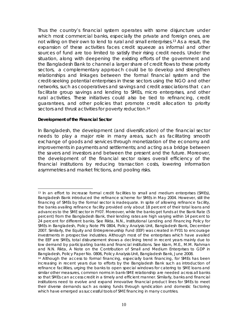Thus the country's financial system operates with some disjuncture under which most commercial banks, especially the private and foreign ones, are not willing on their own to lend to rural and small enterprises.<sup>13</sup> As a result, the expansion of these activities faces credit squeeze as informal and other sources of fund are too limited to satisfy their rising credit needs. Under the situation, along with deepening the existing efforts of the government and the Bangladesh Bank to channel a larger share of credit flows to these priority sectors, a complementary approach could be to develop and strengthen relationships and linkages between the formal financial system and the credit-seeking potential enterprises in these sectors using the NGO and other networks, such as cooperatives and savings and credit associations that can facilitate group savings and lending to SMEs, micro enterprises, and other rural activities. These initiatives could also be tied to refinancing, credit guarantees, and other policies that promote credit allocation to priority sectors and thrust activities for poverty reduction.<sup>14</sup>

## **Development of the Financial Sector**

 $\overline{a}$ 

In Bangladesh, the development (and diversification) of the financial sector needs to play a major role in many areas, such as facilitating smooth exchange of goods and services through monetization of the economy and improvements in payments and settlements; and acting as a bridge between the savers and investors and between the present and the future. Moreover, the development of the financial sector raises overall efficiency of the financial institutions by reducing transaction costs, lowering information asymmetries and market frictions, and pooling risks.

<sup>&</sup>lt;sup>13</sup> In an effort to increase formal credit facilities to small and medium enterprises (SMEs), Bangladesh Bank introduced the refinance scheme for SMEs in May 2004. However, still the financing of SMEs by the formal sector is inadequate. In spite of allowing refinance facility, the banks availing refinance facility provided only about 18 percent of their total loans and advances to the SME sector in FY07. Moreover, while the banks get funds at the Bank Rate (5 percent) from the Bangladesh Bank, their lending rates are high varying within 14 percent to 24 percent for different banks. See Rikta, N.N., *Institutional Lending and Financing Policy for SMEs in Bangladesh,* Policy Note PN 0804, Policy Analysis Unit, Bangladesh Bank, December 2007. Similarly, the Equity and Entrepreneurship Fund (EEF) was created in FY01 to encourage investments in prospective industries. Although most of the enterprises which have availed the EEF are SMEs, total disbursement shows a declining trend in recent years mainly due to low demand by participating banks and financial institutions. See Islam, M.E., M.M. Rahman and N.N. Rikta, *A Note on the Contribution of Small and Medium Enterprises to GDP in Bangladesh,* Policy Paper No. 0806, Policy Analysis Unit, Bangladesh Bank, June 2008.

<sup>&</sup>lt;sup>14</sup> Although the access to formal financing, especially bank financing, for SMEs has been increasing in recent years due to efforts by the Bangladesh Bank such as introduction of refinance facilities, urging the banks to open special windows for catering to SME loans and similar other measures, common norms in bank-SME relationship are needed across all banks so that SMEs can access credit in a timely and efficient manner. Similarly, banks and financial institutions need to evolve and expand innovative financial product lines for SMEs to meet their diverse demands such as raising funds through syndication and domestic factoring which have emerged as successful tools of SME financing in many countries.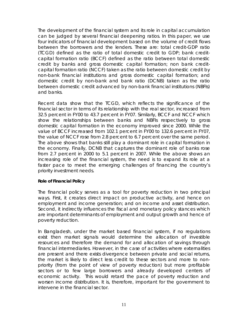The development of the financial system and its role in capital accumulation can be judged by several financial deepening ratios. In this paper, we use four indicators of financial development based on the volume of credit flows between the borrowers and the lenders. These are: total credit-GDP ratio (TCGD) defined as the ratio of total domestic credit to GDP; bank creditcapital formation ratio (BCCF) defined as the ratio between total domestic credit by banks and gross domestic capital formation; non bank creditcapital formation ratio (NCCF) taken as the ratio between domestic credit by non-bank financial institutions and gross domestic capital formation; and domestic credit by non-bank and bank ratio (DCNB) taken as the ratio between domestic credit advanced by non-bank financial institutions (NBFIs) and banks.

Recent data show that the TCGD, which reflects the significance of the financial sector in terms of its relationship with the real sector, increased from 32.5 percent in FY00 to 43.7 percent in FY07. Similarly, BCCF and NCCF which show the relationships between banks and NBFIs respectively to gross domestic capital formation in the economy improved since 2000. While the value of BCCF increased from 102.1 percent in FY00 to 132.6 percent in FY07, the value of NCCF rose from 2.8 percent to 6.7 percent over the same period. The above shows that banks still play a dominant role in capital formation in the economy. Finally, DCNB that captures the dominant role of banks rose from 2.7 percent in 2000 to 5.1 percent in 2007. While the above shows an increasing role of the financial system, the need is to expand its role at a faster pace to meet the emerging challenges of financing the country's priority investment needs.

## **Role of Financial Policy**

The financial policy serves as a tool for poverty reduction in two principal ways. *First,* it creates direct impact on productive activity, and hence on employment and income generation; and on income and asset distribution. *Second,* it indirectly influences the fiscal and monetary policy stances which are important determinants of employment and output growth and hence of poverty reduction.

In Bangladesh, under the market based financial system, if no regulations exist then market signals would determine the allocation of investible resources and therefore the demand for and allocation of savings through financial intermediaries. However, in the case of activities where externalities are present and there exists divergence between private and social returns, the market is likely to direct less credit to these sectors and more to nonpriority (from the point of view of poverty reduction) but more profitable sectors or to few large borrowers and already developed centers of economic activity. This would retard the pace of poverty reduction and worsen income distribution. It is, therefore, important for the government to intervene in the financial sector.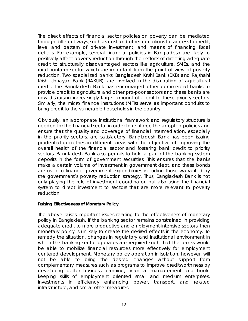The direct effects of financial sector policies on poverty can be mediated through different ways, such as cost and other conditions for access to credit, level and pattern of private investment, and means of financing fiscal deficits. For example, several financial policies in Bangladesh are likely to positively affect poverty reduction through their efforts of directing adequate credit to structurally disadvantaged sectors like agriculture, SMEs, and the rural nonfarm sector which are important from the point of view of poverty reduction. Two specialized banks, Bangladesh Krishi Bank (BKB) and Rajshahi Krishi Unnayan Bank (RAKUB), are involved in the distribution of agricultural credit. The Bangladesh Bank has encouraged other commercial banks to provide credit to agriculture and other pro-poor sectors and these banks are now disbursing increasingly larger amount of credit to these priority sectors. Similarly, the micro finance institutions (MFIs) serve as important conduits to bring credit to the vulnerable households in the country.

Obviously, an appropriate institutional framework and regulatory structure is needed for the financial sector in order to reinforce the adopted policies and ensure that the quality and coverage of financial intermediation, especially in the priority sectors, are satisfactory. Bangladesh Bank has been issuing prudential guidelines in different areas with the objective of improving the overall health of the financial sector and fostering bank credit to priority sectors. Bangladesh Bank also permits to hold a part of the banking system deposits in the form of government securities. This ensures that the banks make a certain volume of investment in government debt, and these bonds are used to finance government expenditures including those warranted by the government's poverty reduction strategy. Thus, Bangladesh Bank is not only playing the role of investment coordinator, but also using the financial system to direct investment to sectors that are more relevant to poverty reduction.

## **Raising Effectiveness of Monetary Policy**

The above raises important issues relating to the effectiveness of monetary policy in Bangladesh. If the banking sector remains constrained in providing adequate credit to more productive and employment-intensive sectors, then monetary policy is unlikely to create the desired effects in the economy. To remedy the situation, changes in regulatory and institutional environment in which the banking sector operates are required such that the banks would be able to mobilize financial resources more effectively for employment centered development. Monetary policy operation in isolation, however, will not be able to bring the desired changes without support from complementary measures such as programs to improve creditworthiness by developing better business planning, financial management and bookkeeping skills of employment oriented small and medium enterprises, investments in efficiency enhancing power, transport, and related infrastructure, and similar other measures.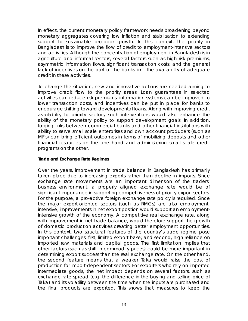In effect, the current monetary policy framework needs broadening beyond monetary aggregates covering low inflation and stabilization to extending support to sustainable pro-poor growth. In this context, the priority in Bangladesh is to improve the flow of credit to employment-intensive sectors and activities. Although the concentration of employment in Bangladesh is in agriculture and informal sectors, several factors such as high risk premiums, asymmetric information flows, significant transaction costs, and the general lack of incentives on the part of the banks limit the availability of adequate credit in these activities.

To change the situation, new and innovative actions are needed aiming to improve credit flow to the priority areas. Loan guarantees in selected activities can reduce risk premiums, information systems can be improved to lower transaction costs, and incentives can be put in place for banks to encourage shifting toward developmental loans. Along with improving credit availability to priority sectors, such interventions would also enhance the ability of the monetary policy to support development goals. In addition, forging links between commercial banks and other financial institutions with ability to serve small scale enterprises and own account producers (such as MFIs) can bring efficient outcomes in terms of mobilizing deposits and other financial resources on the one hand and administering small scale credit programs on the other.

## **Trade and Exchange Rate Regimes**

Over the years, improvement in trade balance in Bangladesh has primarily taken place due to increasing exports rather than decline in imports. Since exchange rate movements are an important dimension of the traders' business environment, a properly aligned exchange rate would be of significant importance in supporting competitiveness of priority export sectors. For the purpose, a pro-active foreign exchange rate policy is required. Since the major export-oriented sectors (such as RMGs) are also employmentintensive, improvements in net export position would support an employmentintensive growth of the economy. A competitive real exchange rate, along with improvement in net trade balance, would therefore support the growth of domestic production activities creating better employment opportunities. In this context, two structural features of the country's trade regime pose important challenges: *first,* limited export base; and *second,* high reliance on imported raw materials and capital goods. The first limitation implies that other factors (such as shift in commodity prices) could be more important in determining export success than the real exchange rate. On the other hand, the second feature means that a weaker Taka would raise the cost of production for import-dependent sectors. For exporters who rely on imported intermediate goods, the net impact depends on several factors, such as exchange rate spread (e.g. the difference in the buying and selling price of Taka) and its volatility between the time when the inputs are purchased and the final products are exported. This shows that measures to keep the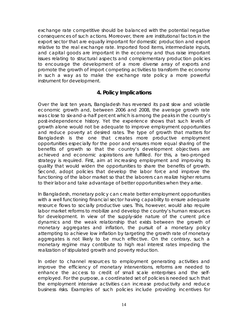exchange rate competitive should be balanced with the potential negative consequences of such actions. Moreover, there are institutional factors in the export sector that are equally important for domestic production and export relative to the real exchange rate. Imported food items, intermediate inputs, and capital goods are important in the economy and thus raise important issues relating to structural aspects and complementary production policies to encourage the development of a more diverse array of exports and promote the growth of import competing activities to transform the economy in such a way as to make the exchange rate policy a more powerful instrument for development.

# **4. Policy Implications**

Over the last ten years, Bangladesh has reversed its past slow and volatile economic growth and, between 2006 and 2008, the average growth rate was close to six-and-a-half percent which is among the peaks in the country's post-independence history. Yet the experience shows that such levels of growth alone would not be adequate to improve employment opportunities and reduce poverty at desired rates. The type of growth that matters for Bangladesh is the one that creates more productive employment opportunities especially for the poor and ensures more equal sharing of the benefits of growth so that the country's development objectives are achieved and economic aspirations are fulfilled. For this, a two-pronged strategy is required. *First,* aim at increasing employment and improving its quality that would widen the opportunities to share the benefits of growth. *Second,* adopt policies that develop the labor force and improve the functioning of the labor market so that the laborers can realize higher returns to their labor and take advantage of better opportunities when they arise.

In Bangladesh, monetary policy can create better employment opportunities with a well functioning financial sector having capability to ensure adequate resource flows to socially productive uses. This, however, would also require labor market reforms to mobilize and develop the country's human resources for development. In view of the supply-side nature of the current price dynamics and the weak relationship that exists between the growth of monetary aggregates and inflation, the pursuit of a monetary policy attempting to achieve low inflation by targeting the growth rate of monetary aggregates is not likely to be much effective. On the contrary, such a monetary regime may contribute to high real interest rates impeding the realization of stipulated growth and poverty reduction.

In order to channel resources to employment generating activities and improve the efficiency of monetary interventions, reforms are needed to enhance the access to credit of small scale enterprises and the selfemployed. For the purpose, a coordinated set of policies is needed such that the employment intensive activities can increase productivity and reduce business risks. Examples of such policies include providing incentives for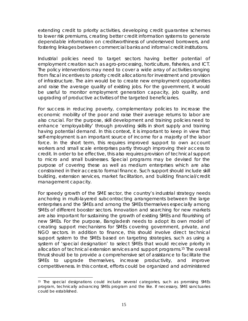extending credit to priority activities, developing credit guarantee schemes to lower risk premiums, creating better credit information systems to generate dependable information on creditworthiness of underserved borrowers, and fostering linkages between commercial banks and informal credit institutions.

Industrial policies need to target sectors having better potential of employment creation such as agro-processing, horticulture, fisheries, and ICT. The policy interventions may need to cover a wide array of activities ranging from fiscal incentives to priority credit allocations for investment and provision of infrastructure. The aim would be to create new employment opportunities and raise the average quality of existing jobs. For the government, it would be useful to monitor employment generation capacity, job quality, and upgrading of productive activities of the targeted beneficiaries.

For success in reducing poverty, complementary policies to increase the economic mobility of the poor and raise their average returns to labor are also crucial. For the purpose, skill development and training policies need to enhance 'employability' through providing skills in short supply and training having potential demand. In this context, it is important to keep in view that self-employment is an important source of income for a majority of the labor force. In the short term, this requires improved support to own account workers and small scale enterprises partly through improving their access to credit. In order to be effective, this also requires provision of technical support to micro and small businesses. Special programs may be devised for the purpose of covering these as well as medium enterprises which are also constrained in their access to formal finance. Such support should include skill building, extension services, market facilitation, and building financial/credit management capacity.

For speedy growth of the SME sector, the country's industrial strategy needs anchoring in multi-layered subcontracting arrangements between the large enterprises and the SMEs and among the SMEs themselves especially among SMEs of different booster sectors. Innovation and searching for new markets are also important for sustaining the growth of existing SMEs and flourishing of new SMEs. For the purpose, Bangladesh needs to adopt its own model of creating support mechanisms for SMEs covering government, private, and NGO sectors. In addition to finance, this should involve direct technical support system to the SMEs based on targeting strategies, such as using a system of 'special designation' to select SMEs that would receive priority in allocation of technical extension services and support programs.15 The overall thrust should be to provide a comprehensive set of assistance to facilitate the SMEs to upgrade themselves, increase productivity, and improve competitiveness. In this context, efforts could be organized and administered

 $\overline{a}$ 15 The special designations could include several categories, such as promising SMEs program, technically advancing SMEs program and the like. If necessary, SME sanctuaries could be established.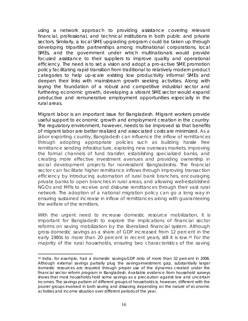using a network approach to providing assistance covering relevant financial, professional, and technical institutions in both public and private sectors. Similarly, a local SME upgrading program could be taken up through developing tripartite partnerships among multinational corporations, local SMEs, and the government under which multinationals would provide focused assistance to their suppliers to improve quality and operational efficiency. The need is to set a vision and adopt a pro-active SME promotion policy facilitating rapid transition from traditional to relatively modern product categories to help up-scale existing low productivity informal SMEs and deepen their links with mainstream growth seeking activities. Along with laying the foundation of a robust and competitive industrial sector and furthering economic growth, developing a vibrant SME sector would expand productive and remunerative employment opportunities especially in the rural areas.

Migrant labor is an important issue for Bangladesh. Migrant workers provide useful support to economic growth and employment creation in the country. The regulatory environment, however, needs to be improved so that benefits of migrant labor are better realized and associated costs are minimized. As a labor exporting country, Bangladesh can influence the inflow of remittances through adopting appropriate policies such as building hassle free remittance sending infrastructure, exploring new overseas markets, improving the formal channels of fund transfer, establishing specialized banks, and creating more effective investment avenues and providing ownership in social development projects for nonresident Bangladeshis. The financial sector can facilitate higher remittance inflows through improving transaction efficiency by introducing automation of rural bank branches, encouraging private banks to open branches in rural areas, and allowing well-established NGOs and MFIs to receive and disburse remittances through their vast rural network. The adoption of a national migration policy can go a long way in ensuring sustained increase in inflow of remittances along with guaranteeing the welfare of the remitters.

With the urgent need to increase domestic resource mobilization, it is important for Bangladesh to explore the implications of financial sector reforms on saving mobilization by the liberalized financial system. Although gross domestic savings as a share of GDP increased from 12 percent in the early 1980s to more than 20 percent in recent years, still it is low.16 For the majority of the rural households, ensuring two characteristics of the saving

 $\overline{a}$ 

<sup>16</sup> India, for example, had a domestic savings-GDP ratio of more than 32 percent in 2006. Although external savings partially plug the savings-investment gap, substantially larger domestic resources are required through proper use of the dynamos created under the financial sector reform program in Bangladesh. Available evidence from household surveys shows that most households hold some savings as a precaution against low and uncertain incomes. The savings pattern of different groups of households is, however, different with the poorer groups involved in both saving and dissaving depending on the nature of economic activities and income situation over different periods of the year.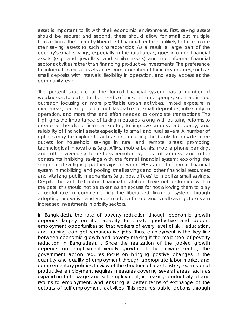asset is important to fit with their economic environment. *First,* saving assets should be secure; and *second,* these should allow for small but multiple transactions. The currently liberalized financial sector is unlikely to tailor-made their saving assets to such characteristics. As a result, a large part of the country's small savings, especially in the rural areas, goes into non-financial assets (e.g. land, jewellery, and similar assets) and into informal financial sector activities rather than financing productive investments. The preference for informal financial assets arises from a number of their advantages, such as small deposits with intervals, flexibility in operation, and easy access at the community level.

The present structure of the formal financial system has a number of weaknesses to cater to the needs of these income groups, such as limited outreach focusing on more profitable urban activities, limited exposure in rural areas, banking culture not favorable to small depositors, inflexibility in operation, and more time and effort needed to complete transactions. This highlights the importance of taking measures, along with pursuing reforms to create a liberalized financial sector, to improve access, adequacy, and reliability of financial assets especially to small and rural savers. A number of options may be explored, such as encouraging the banks to provide more outlets for household savings in rural and remote areas; promoting technological innovations (e.g. ATMs, mobile banks, mobile phone banking, and other avenues) to redress remoteness, cost of access, and other constraints inhibiting savings with the formal financial system; exploring the scope of developing partnerships between MFIs and the formal financial system in mobilizing and pooling small savings and other financial resources; and vitalizing public mechanisms (e.g. post offices) to mobilize small savings. Despite the fact that public financial institutions have not performed well in the past, this should not be taken as an excuse for not allowing them to play a useful role in complementing the liberalized financial system through adopting innovative and viable models of mobilizing small savings to sustain increased investments in priority sectors.

In Bangladesh, the rate of poverty reduction through economic growth depends largely on its capacity to create productive and decent employment opportunities so that workers of every level of skill, education, and training can get remunerative jobs. Thus, employment is the key link between economic growth and poverty making it the major tool of poverty reduction in Bangladesh. . Since the realization of the job-led growth depends on employment-friendly growth of the private sector, the government action requires focus on bringing positive changes in the quantity and quality of employment through appropriate labor market and complementary policies. In view of the structural characteristics, expansion of productive employment requires measures covering several areas, such as expanding both wage and self-employment, increasing productivity of and returns to employment, and ensuring a better terms of exchange of the outputs of self-employment activities. This requires public actions through